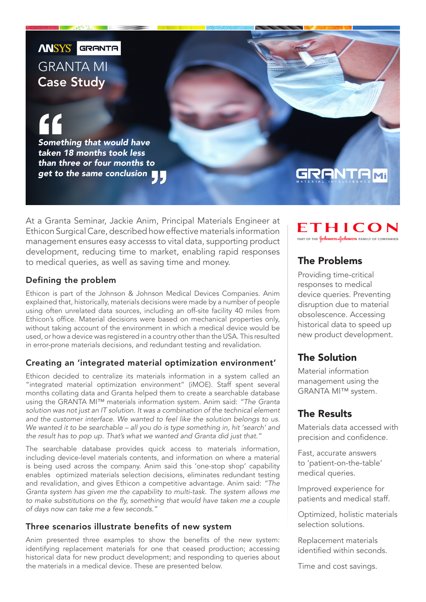**ANSYS** GRANTA

## GRANTA MI Case Study

*Something that would have taken 18 months took less than three or four months to get to the same conclusion*

# GRANTAM

At a Granta Seminar, Jackie Anim, Principal Materials Engineer at Ethicon Surgical Care, described how effective materials information management ensures easy accesss to vital data, supporting product development, reducing time to market, enabling rapid responses to medical queries, as well as saving time and money.

#### Defining the problem

Ethicon is part of the Johnson & Johnson Medical Devices Companies. Anim explained that, historically, materials decisions were made by a number of people using often unrelated data sources, including an off-site facility 40 miles from Ethicon's office. Material decisions were based on mechanical properties only, without taking account of the environment in which a medical device would be used, or how a device was registered in a country other than the USA. This resulted in error-prone materials decisions, and redundant testing and revalidation.

#### Creating an 'integrated material optimization environment'

Ethicon decided to centralize its materials information in a system called an "integrated material optimization environment" (iMOE). Staff spent several months collating data and Granta helped them to create a searchable database using the GRANTA MI™ materials information system. Anim said: *"The Granta solution was not just an IT solution. It was a combination of the technical element*  and the customer interface. We wanted to feel like the solution belongs to us. *We wanted it to be searchable – all you do is type something in, hit 'search' and the result has to pop up. That's what we wanted and Granta did just that."* 

The searchable database provides quick access to materials information, including device-level materials contents, and information on where a material is being used across the company. Anim said this 'one-stop shop' capability enables optimized materials selection decisions, eliminates redundant testing and revalidation, and gives Ethicon a competitive advantage. Anim said: *"The Granta system has given me the capability to multi-task. The system allows me*  to make substitutions on the fly, something that would have taken me a couple *of days now can take me a few seconds."*

### Three scenarios illustrate benefits of new system

Anim presented three examples to show the benefits of the new system: identifying replacement materials for one that ceased production; accessing historical data for new product development; and responding to queries about the materials in a medical device. These are presented below.

ETHICON PART OF THE **Johnson-Johnson** FAMILY OF COMPANIES

### The Problems

Providing time-critical responses to medical device queries. Preventing disruption due to material obsolescence. Accessing historical data to speed up new product development.

### The Solution

Material information management using the GRANTA MI™ system.

### The Results

Materials data accessed with precision and confidence.

Fast, accurate answers to 'patient-on-the-table' medical queries.

Improved experience for patients and medical staff.

Optimized, holistic materials selection solutions.

Replacement materials identified within seconds.

Time and cost savings.